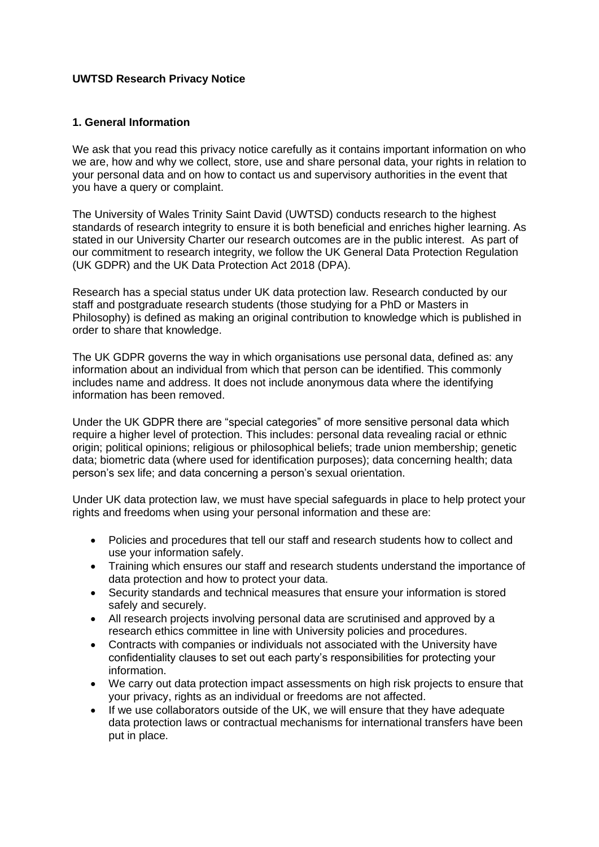### **UWTSD Research Privacy Notice**

### **1. General Information**

We ask that you read this privacy notice carefully as it contains important information on who we are, how and why we collect, store, use and share personal data, your rights in relation to your personal data and on how to contact us and supervisory authorities in the event that you have a query or complaint.

The University of Wales Trinity Saint David (UWTSD) conducts research to the highest standards of research integrity to ensure it is both beneficial and enriches higher learning. As stated in our University Charter our research outcomes are in the public interest. As part of our commitment to research integrity, we follow the UK General Data Protection Regulation (UK GDPR) and the UK Data Protection Act 2018 (DPA).

Research has a special status under UK data protection law. Research conducted by our staff and postgraduate research students (those studying for a PhD or Masters in Philosophy) is defined as making an original contribution to knowledge which is published in order to share that knowledge.

The UK GDPR governs the way in which organisations use personal data, defined as: any information about an individual from which that person can be identified. This commonly includes name and address. It does not include anonymous data where the identifying information has been removed.

Under the UK GDPR there are "special categories" of more sensitive personal data which require a higher level of protection. This includes: personal data revealing racial or ethnic origin; political opinions; religious or philosophical beliefs; trade union membership; genetic data; biometric data (where used for identification purposes); data concerning health; data person's sex life; and data concerning a person's sexual orientation.

Under UK data protection law, we must have special safeguards in place to help protect your rights and freedoms when using your personal information and these are:

- Policies and procedures that tell our staff and research students how to collect and use your information safely.
- Training which ensures our staff and research students understand the importance of data protection and how to protect your data.
- Security standards and technical measures that ensure your information is stored safely and securely.
- All research projects involving personal data are scrutinised and approved by a research ethics committee in line with University policies and procedures.
- Contracts with companies or individuals not associated with the University have confidentiality clauses to set out each party's responsibilities for protecting your information.
- We carry out data protection impact assessments on high risk projects to ensure that your privacy, rights as an individual or freedoms are not affected.
- If we use collaborators outside of the UK, we will ensure that they have adequate data protection laws or contractual mechanisms for international transfers have been put in place.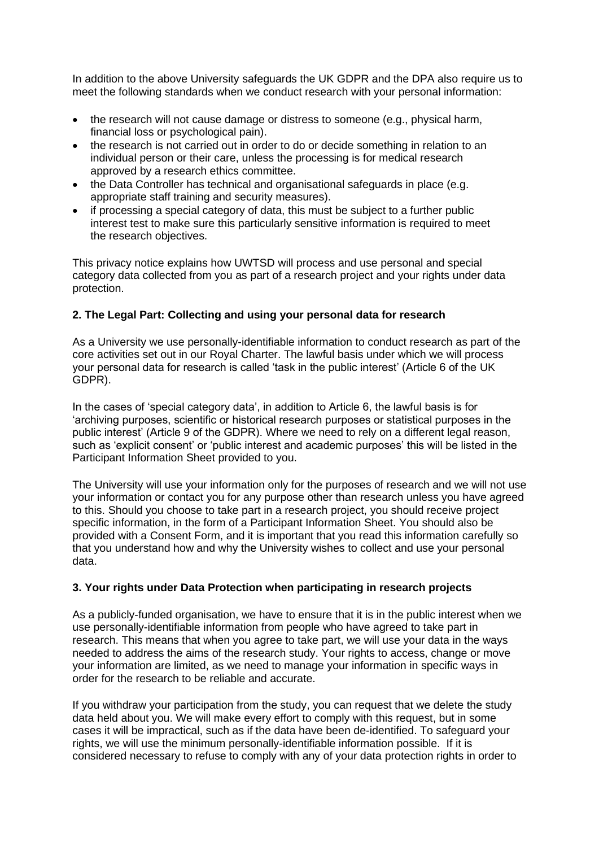In addition to the above University safeguards the UK GDPR and the DPA also require us to meet the following standards when we conduct research with your personal information:

- the research will not cause damage or distress to someone (e.g., physical harm, financial loss or psychological pain).
- the research is not carried out in order to do or decide something in relation to an individual person or their care, unless the processing is for medical research approved by a research ethics committee.
- the Data Controller has technical and organisational safeguards in place (e.g. appropriate staff training and security measures).
- if processing a special category of data, this must be subject to a further public interest test to make sure this particularly sensitive information is required to meet the research objectives.

This privacy notice explains how UWTSD will process and use personal and special category data collected from you as part of a research project and your rights under data protection.

# **2. The Legal Part: Collecting and using your personal data for research**

As a University we use personally-identifiable information to conduct research as part of the core activities set out in our Royal Charter. The lawful basis under which we will process your personal data for research is called 'task in the public interest' (Article 6 of the UK GDPR).

In the cases of 'special category data', in addition to Article 6, the lawful basis is for 'archiving purposes, scientific or historical research purposes or statistical purposes in the public interest' (Article 9 of the GDPR). Where we need to rely on a different legal reason, such as 'explicit consent' or 'public interest and academic purposes' this will be listed in the Participant Information Sheet provided to you.

The University will use your information only for the purposes of research and we will not use your information or contact you for any purpose other than research unless you have agreed to this. Should you choose to take part in a research project, you should receive project specific information, in the form of a Participant Information Sheet. You should also be provided with a Consent Form, and it is important that you read this information carefully so that you understand how and why the University wishes to collect and use your personal data.

#### **3. Your rights under Data Protection when participating in research projects**

As a publicly-funded organisation, we have to ensure that it is in the public interest when we use personally-identifiable information from people who have agreed to take part in research. This means that when you agree to take part, we will use your data in the ways needed to address the aims of the research study. Your rights to access, change or move your information are limited, as we need to manage your information in specific ways in order for the research to be reliable and accurate.

If you withdraw your participation from the study, you can request that we delete the study data held about you. We will make every effort to comply with this request, but in some cases it will be impractical, such as if the data have been de-identified. To safeguard your rights, we will use the minimum personally-identifiable information possible. If it is considered necessary to refuse to comply with any of your data protection rights in order to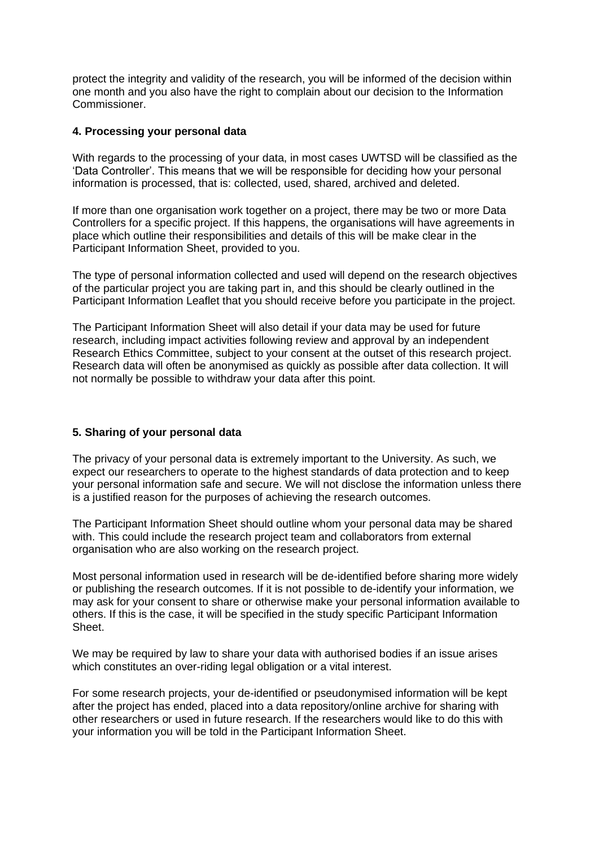protect the integrity and validity of the research, you will be informed of the decision within one month and you also have the right to complain about our decision to the Information Commissioner.

### **4. Processing your personal data**

With regards to the processing of your data, in most cases UWTSD will be classified as the 'Data Controller'. This means that we will be responsible for deciding how your personal information is processed, that is: collected, used, shared, archived and deleted.

If more than one organisation work together on a project, there may be two or more Data Controllers for a specific project. If this happens, the organisations will have agreements in place which outline their responsibilities and details of this will be make clear in the Participant Information Sheet, provided to you.

The type of personal information collected and used will depend on the research objectives of the particular project you are taking part in, and this should be clearly outlined in the Participant Information Leaflet that you should receive before you participate in the project.

The Participant Information Sheet will also detail if your data may be used for future research, including impact activities following review and approval by an independent Research Ethics Committee, subject to your consent at the outset of this research project. Research data will often be anonymised as quickly as possible after data collection. It will not normally be possible to withdraw your data after this point.

# **5. Sharing of your personal data**

The privacy of your personal data is extremely important to the University. As such, we expect our researchers to operate to the highest standards of data protection and to keep your personal information safe and secure. We will not disclose the information unless there is a justified reason for the purposes of achieving the research outcomes.

The Participant Information Sheet should outline whom your personal data may be shared with. This could include the research project team and collaborators from external organisation who are also working on the research project.

Most personal information used in research will be de-identified before sharing more widely or publishing the research outcomes. If it is not possible to de-identify your information, we may ask for your consent to share or otherwise make your personal information available to others. If this is the case, it will be specified in the study specific Participant Information Sheet.

We may be required by law to share your data with authorised bodies if an issue arises which constitutes an over-riding legal obligation or a vital interest.

For some research projects, your de-identified or pseudonymised information will be kept after the project has ended, placed into a data repository/online archive for sharing with other researchers or used in future research. If the researchers would like to do this with your information you will be told in the Participant Information Sheet.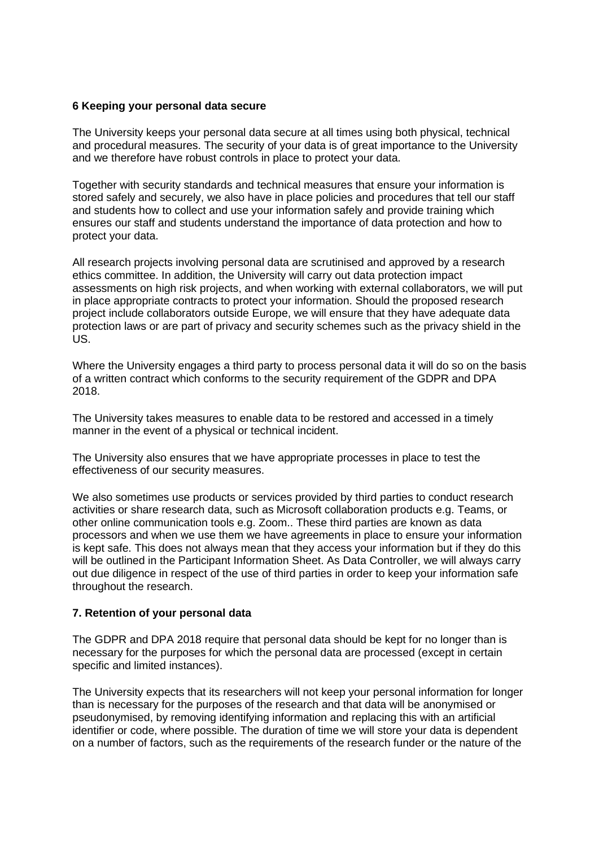### **6 Keeping your personal data secure**

The University keeps your personal data secure at all times using both physical, technical and procedural measures. The security of your data is of great importance to the University and we therefore have robust controls in place to protect your data.

Together with security standards and technical measures that ensure your information is stored safely and securely, we also have in place policies and procedures that tell our staff and students how to collect and use your information safely and provide training which ensures our staff and students understand the importance of data protection and how to protect your data.

All research projects involving personal data are scrutinised and approved by a research ethics committee. In addition, the University will carry out data protection impact assessments on high risk projects, and when working with external collaborators, we will put in place appropriate contracts to protect your information. Should the proposed research project include collaborators outside Europe, we will ensure that they have adequate data protection laws or are part of privacy and security schemes such as the privacy shield in the US.

Where the University engages a third party to process personal data it will do so on the basis of a written contract which conforms to the security requirement of the GDPR and DPA 2018.

The University takes measures to enable data to be restored and accessed in a timely manner in the event of a physical or technical incident.

The University also ensures that we have appropriate processes in place to test the effectiveness of our security measures.

We also sometimes use products or services provided by third parties to conduct research activities or share research data, such as Microsoft collaboration products e.g. Teams, or other online communication tools e.g. Zoom.. These third parties are known as data processors and when we use them we have agreements in place to ensure your information is kept safe. This does not always mean that they access your information but if they do this will be outlined in the Participant Information Sheet. As Data Controller, we will always carry out due diligence in respect of the use of third parties in order to keep your information safe throughout the research.

#### **7. Retention of your personal data**

The GDPR and DPA 2018 require that personal data should be kept for no longer than is necessary for the purposes for which the personal data are processed (except in certain specific and limited instances).

The University expects that its researchers will not keep your personal information for longer than is necessary for the purposes of the research and that data will be anonymised or pseudonymised, by removing identifying information and replacing this with an artificial identifier or code, where possible. The duration of time we will store your data is dependent on a number of factors, such as the requirements of the research funder or the nature of the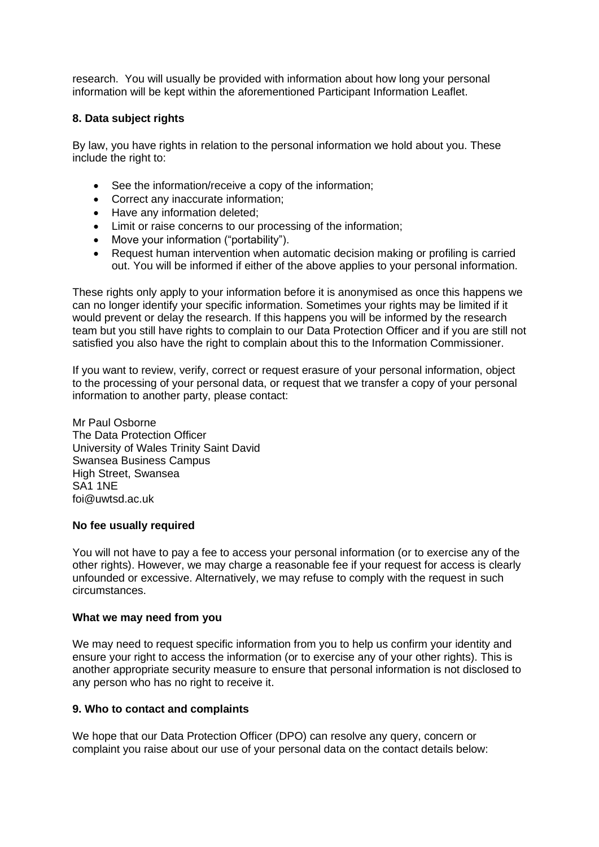research. You will usually be provided with information about how long your personal information will be kept within the aforementioned Participant Information Leaflet.

# **8. Data subject rights**

By law, you have rights in relation to the personal information we hold about you. These include the right to:

- See the information/receive a copy of the information:
- Correct any inaccurate information;
- Have any information deleted;
- Limit or raise concerns to our processing of the information;
- Move your information ("portability").
- Request human intervention when automatic decision making or profiling is carried out. You will be informed if either of the above applies to your personal information.

These rights only apply to your information before it is anonymised as once this happens we can no longer identify your specific information. Sometimes your rights may be limited if it would prevent or delay the research. If this happens you will be informed by the research team but you still have rights to complain to our Data Protection Officer and if you are still not satisfied you also have the right to complain about this to the Information Commissioner.

If you want to review, verify, correct or request erasure of your personal information, object to the processing of your personal data, or request that we transfer a copy of your personal information to another party, please contact:

Mr Paul Osborne The Data Protection Officer University of Wales Trinity Saint David Swansea Business Campus High Street, Swansea SA1 1NE foi@uwtsd.ac.uk

#### **No fee usually required**

You will not have to pay a fee to access your personal information (or to exercise any of the other rights). However, we may charge a reasonable fee if your request for access is clearly unfounded or excessive. Alternatively, we may refuse to comply with the request in such circumstances.

#### **What we may need from you**

We may need to request specific information from you to help us confirm your identity and ensure your right to access the information (or to exercise any of your other rights). This is another appropriate security measure to ensure that personal information is not disclosed to any person who has no right to receive it.

#### **9. Who to contact and complaints**

We hope that our Data Protection Officer (DPO) can resolve any query, concern or complaint you raise about our use of your personal data on the contact details below: